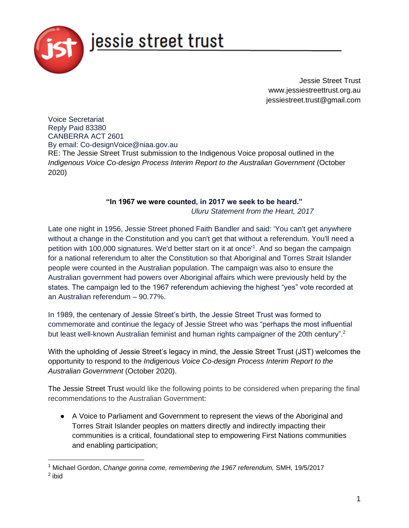

Jessie Street Trust www.jessiestreettrust.org.au jessiestreet.trust@gmail.com

Voice Secretariat Reply Paid 83380 CANBERRA ACT 2601 By email: Co-designVoice@niaa.gov.au RE: The Jessie Street Trust submission to the Indigenous Voice proposal outlined in the *Indigenous Voice Co-design Process Interim Report to the Australian Government* (October 2020)

## **"In 1967 we were counted, in 2017 we seek to be heard."**  *Uluru Statement from the Heart, 2017*

Late one night in 1956, Jessie Street phoned Faith Bandler and said: 'You can't get anywhere without a change in the Constitution and you can't get that without a referendum. You'll need a petition with 100,000 signatures. We'd better start on it at once<sup>'1</sup>. And so began the campaign for a national referendum to alter the Constitution so that Aboriginal and Torres Strait Islander people were counted in the Australian population. The campaign was also to ensure the Australian government had powers over Aboriginal affairs which were previously held by the states. The campaign led to the 1967 referendum achieving the highest "yes" vote recorded at an Australian referendum – 90.77%.

In 1989, the centenary of Jessie Street's birth, the Jessie Street Trust was formed to commemorate and continue the legacy of Jessie Street who was "perhaps the most influential but least well-known Australian feminist and human rights campaigner of the 20th century".<sup>2</sup>

With the upholding of Jessie Street's legacy in mind, the Jessie Street Trust (JST) welcomes the opportunity to respond to the *Indigenous Voice Co-design Process Interim Report to the Australian Government* (October 2020).

The Jessie Street Trust would like the following points to be considered when preparing the final recommendations to the Australian Government:

● A Voice to Parliament and Government to represent the views of the Aboriginal and Torres Strait Islander peoples on matters directly and indirectly impacting their communities is a critical, foundational step to empowering First Nations communities and enabling participation;

<sup>1</sup> Michael Gordon, *[Change gonna come, remembering the 1967 referendum,](https://www.smh.com.au/national/change-gonna-come-remembering-the-1967-referendum-20170518-gw84lw.html)* [SMH,](https://www.smh.com.au/national/change-gonna-come-remembering-the-1967-referendum-20170518-gw84lw.html) 19/5/2017 <sup>2</sup> ibid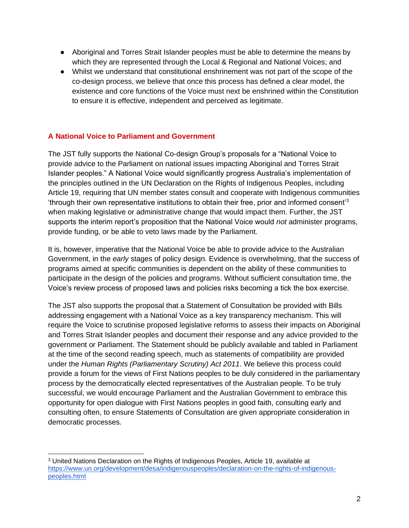- Aboriginal and Torres Strait Islander peoples must be able to determine the means by which they are represented through the Local & Regional and National Voices; and
- Whilst we understand that constitutional enshrinement was not part of the scope of the co-design process, we believe that once this process has defined a clear model, the existence and core functions of the Voice must next be enshrined within the Constitution to ensure it is effective, independent and perceived as legitimate.

## **A National Voice to Parliament and Government**

The JST fully supports the National Co-design Group's proposals for a "National Voice to provide advice to the Parliament on national issues impacting Aboriginal and Torres Strait Islander peoples." A National Voice would significantly progress Australia's implementation of the principles outlined in the UN Declaration on the Rights of Indigenous Peoples, including Article 19, requiring that UN member states consult and cooperate with Indigenous communities 'through their own representative institutions to obtain their free, prior and informed consent'<sup>3</sup> when making legislative or administrative change that would impact them. Further, the JST supports the interim report's proposition that the National Voice would *not* administer programs, provide funding, or be able to veto laws made by the Parliament.

It is, however, imperative that the National Voice be able to provide advice to the Australian Government, in the *early* stages of policy design. Evidence is overwhelming, that the success of programs aimed at specific communities is dependent on the ability of these communities to participate in the design of the policies and programs. Without sufficient consultation time, the Voice's review process of proposed laws and policies risks becoming a tick the box exercise.

The JST also supports the proposal that a Statement of Consultation be provided with Bills addressing engagement with a National Voice as a key transparency mechanism. This will require the Voice to scrutinise proposed legislative reforms to assess their impacts on Aboriginal and Torres Strait Islander peoples and document their response and any advice provided to the government or Parliament. The Statement should be publicly available and tabled in Parliament at the time of the second reading speech, much as statements of compatibility are provided under the *Human Rights (Parliamentary Scrutiny) Act 2011*. We believe this process could provide a forum for the views of First Nations peoples to be duly considered in the parliamentary process by the democratically elected representatives of the Australian people. To be truly successful, we would encourage Parliament and the Australian Government to embrace this opportunity for open dialogue with First Nations peoples in good faith, consulting early and consulting often, to ensure Statements of Consultation are given appropriate consideration in democratic processes.

<sup>3</sup> United Nations Declaration on the Rights of Indigenous Peoples, Article 19, available at [https://www.un.org/development/desa/indigenouspeoples/declaration-on-the-rights-of-indigenous](https://www.un.org/development/desa/indigenouspeoples/declaration-on-the-rights-of-indigenous-peoples.html)[peoples.html](https://www.un.org/development/desa/indigenouspeoples/declaration-on-the-rights-of-indigenous-peoples.html)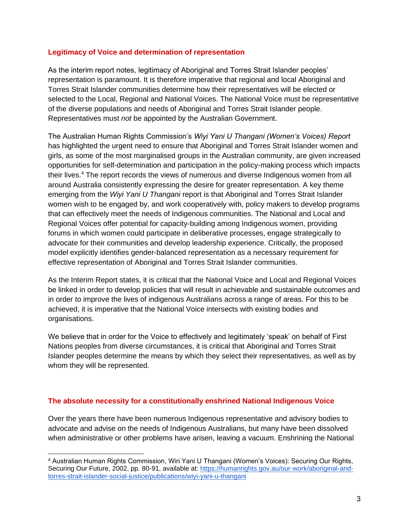## **Legitimacy of Voice and determination of representation**

As the interim report notes, legitimacy of Aboriginal and Torres Strait Islander peoples' representation is paramount. It is therefore imperative that regional and local Aboriginal and Torres Strait Islander communities determine how their representatives will be elected or selected to the Local, Regional and National Voices. The National Voice must be representative of the diverse populations and needs of Aboriginal and Torres Strait Islander people. Representatives must *not* be appointed by the Australian Government.

The Australian Human Rights Commission's *Wiyi Yani U Thangani (Women's Voices) Report* has highlighted the urgent need to ensure that Aboriginal and Torres Strait Islander women and girls, as some of the most marginalised groups in the Australian community, are given increased opportunities for self-determination and participation in the policy-making process which impacts their lives.<sup>4</sup> The report records the views of numerous and diverse Indigenous women from all around Australia consistently expressing the desire for greater representation. A key theme emerging from the *Wiyi Yani U Thangani* report is that Aboriginal and Torres Strait Islander women wish to be engaged by, and work cooperatively with, policy makers to develop programs that can effectively meet the needs of Indigenous communities. The National and Local and Regional Voices offer potential for capacity-building among Indigenous women, providing forums in which women could participate in deliberative processes, engage strategically to advocate for their communities and develop leadership experience. Critically, the proposed model explicitly identifies gender-balanced representation as a necessary requirement for effective representation of Aboriginal and Torres Strait Islander communities.

As the Interim Report states, it is critical that the National Voice and Local and Regional Voices be linked in order to develop policies that will result in achievable and sustainable outcomes and in order to improve the lives of indigenous Australians across a range of areas. For this to be achieved, it is imperative that the National Voice intersects with existing bodies and organisations.

We believe that in order for the Voice to effectively and legitimately 'speak' on behalf of First Nations peoples from diverse circumstances, it is critical that Aboriginal and Torres Strait Islander peoples determine the means by which they select their representatives, as well as by whom they will be represented.

## **The absolute necessity for a constitutionally enshrined National Indigenous Voice**

Over the years there have been numerous Indigenous representative and advisory bodies to advocate and advise on the needs of Indigenous Australians, but many have been dissolved when administrative or other problems have arisen, leaving a vacuum. Enshrining the National

<sup>4</sup> Australian Human Rights Commission, Wiri Yani U Thangani (Women's Voices): Securing Our Rights, Securing Our Future, 2002, pp. 80-91, available at: [https://humanrights.gov.au/our-work/aboriginal-and](https://humanrights.gov.au/our-work/aboriginal-and-torres-strait-islander-social-justice/publications/wiyi-yani-u-thangani)[torres-strait-islander-social-justice/publications/wiyi-yani-u-thangani](https://humanrights.gov.au/our-work/aboriginal-and-torres-strait-islander-social-justice/publications/wiyi-yani-u-thangani)